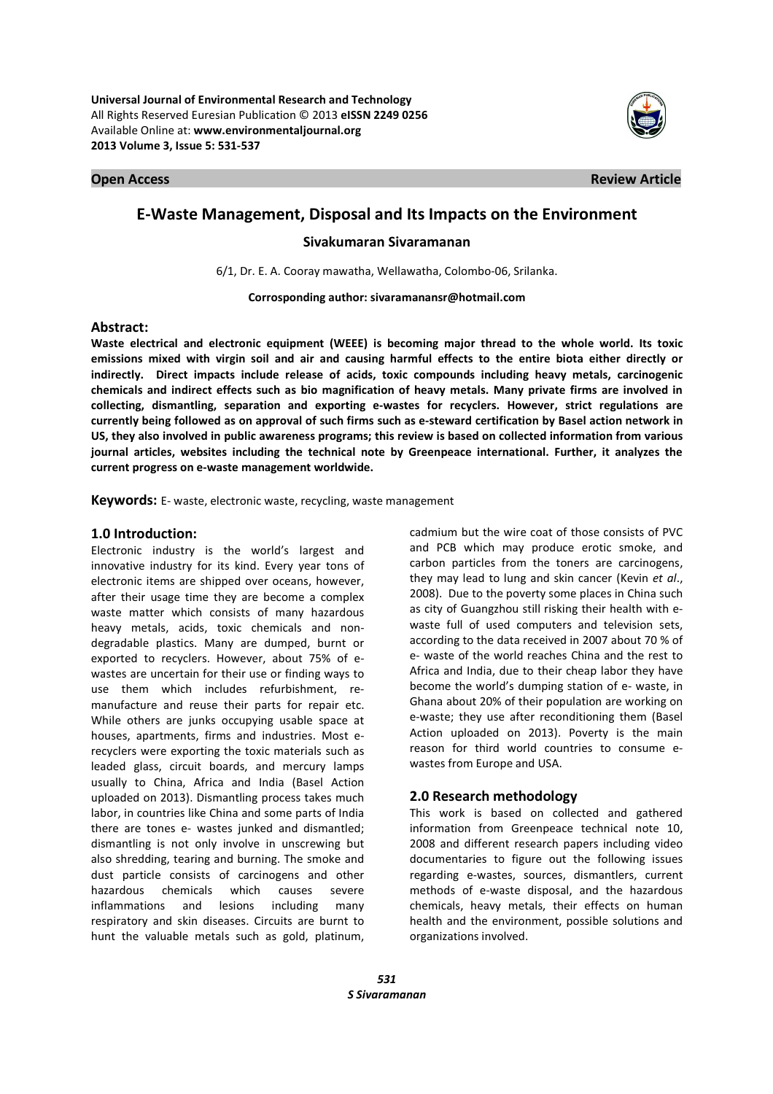

**Open Access Review Article** 

# **E-Waste Management, Disposal and Its Impacts on the Environment**

## **Sivakumaran Sivaramanan**

6/1, Dr. E. A. Cooray mawatha, Wellawatha, Colombo-06, Srilanka.

**Corrosponding author: sivaramanansr@hotmail.com** 

### **Abstract:**

**Waste electrical and electronic equipment (WEEE) is becoming major thread to the whole world. Its toxic emissions mixed with virgin soil and air and causing harmful effects to the entire biota either directly or indirectly. Direct impacts include release of acids, toxic compounds including heavy metals, carcinogenic chemicals and indirect effects such as bio magnification of heavy metals. Many private firms are involved in collecting, dismantling, separation and exporting e-wastes for recyclers. However, strict regulations are currently being followed as on approval of such firms such as e-steward certification by Basel action network in US, they also involved in public awareness programs; this review is based on collected information from various journal articles, websites including the technical note by Greenpeace international. Further, it analyzes the current progress on e-waste management worldwide.** 

**Keywords:** E- waste, electronic waste, recycling, waste management

### **1.0 Introduction:**

Electronic industry is the world's largest and innovative industry for its kind. Every year tons of electronic items are shipped over oceans, however, after their usage time they are become a complex waste matter which consists of many hazardous heavy metals, acids, toxic chemicals and nondegradable plastics. Many are dumped, burnt or exported to recyclers. However, about 75% of ewastes are uncertain for their use or finding ways to use them which includes refurbishment, remanufacture and reuse their parts for repair etc. While others are junks occupying usable space at houses, apartments, firms and industries. Most erecyclers were exporting the toxic materials such as leaded glass, circuit boards, and mercury lamps usually to China, Africa and India (Basel Action uploaded on 2013). Dismantling process takes much labor, in countries like China and some parts of India there are tones e- wastes junked and dismantled; dismantling is not only involve in unscrewing but also shredding, tearing and burning. The smoke and dust particle consists of carcinogens and other hazardous chemicals which causes severe inflammations and lesions including many respiratory and skin diseases. Circuits are burnt to hunt the valuable metals such as gold, platinum,

cadmium but the wire coat of those consists of PVC and PCB which may produce erotic smoke, and carbon particles from the toners are carcinogens, they may lead to lung and skin cancer (Kevin *et al*., 2008). Due to the poverty some places in China such as city of Guangzhou still risking their health with ewaste full of used computers and television sets, according to the data received in 2007 about 70 % of e- waste of the world reaches China and the rest to Africa and India, due to their cheap labor they have become the world's dumping station of e- waste, in Ghana about 20% of their population are working on e-waste; they use after reconditioning them (Basel Action uploaded on 2013). Poverty is the main reason for third world countries to consume ewastes from Europe and USA.

## **2.0 Research methodology**

This work is based on collected and gathered information from Greenpeace technical note 10, 2008 and different research papers including video documentaries to figure out the following issues regarding e-wastes, sources, dismantlers, current methods of e-waste disposal, and the hazardous chemicals, heavy metals, their effects on human health and the environment, possible solutions and organizations involved.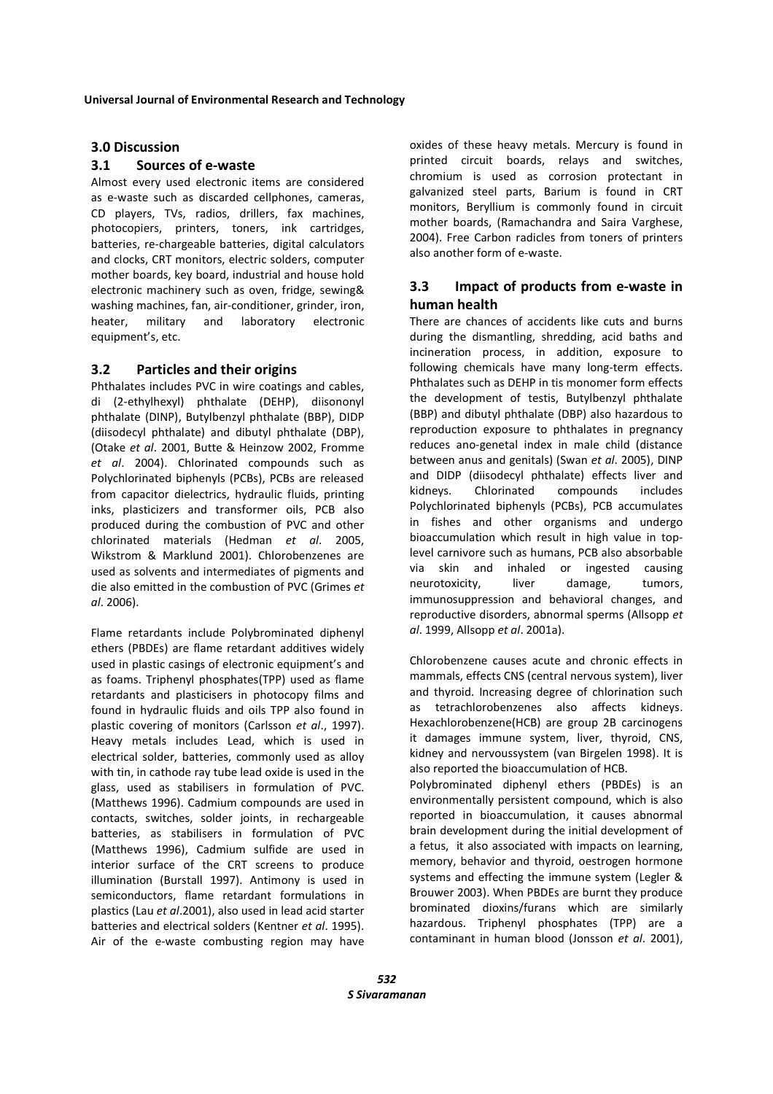### **3.0 Discussion**

## **3.1 Sources of e-waste**

Almost every used electronic items are considered as e-waste such as discarded cellphones, cameras, CD players, TVs, radios, drillers, fax machines, photocopiers, printers, toners, ink cartridges, batteries, re-chargeable batteries, digital calculators and clocks, CRT monitors, electric solders, computer mother boards, key board, industrial and house hold electronic machinery such as oven, fridge, sewing& washing machines, fan, air-conditioner, grinder, iron, heater, military and laboratory electronic equipment's, etc.

## **3.2 Particles and their origins**

Phthalates includes PVC in wire coatings and cables, di (2-ethylhexyl) phthalate (DEHP), diisononyl phthalate (DINP), Butylbenzyl phthalate (BBP), DIDP (diisodecyl phthalate) and dibutyl phthalate (DBP), (Otake *et al*. 2001, Butte & Heinzow 2002, Fromme *et al*. 2004). Chlorinated compounds such as Polychlorinated biphenyls (PCBs), PCBs are released from capacitor dielectrics, hydraulic fluids, printing inks, plasticizers and transformer oils, PCB also produced during the combustion of PVC and other chlorinated materials (Hedman *et al*. 2005, Wikstrom & Marklund 2001). Chlorobenzenes are used as solvents and intermediates of pigments and die also emitted in the combustion of PVC (Grimes *et al*. 2006).

Flame retardants include Polybrominated diphenyl ethers (PBDEs) are flame retardant additives widely used in plastic casings of electronic equipment's and as foams. Triphenyl phosphates(TPP) used as flame retardants and plasticisers in photocopy films and found in hydraulic fluids and oils TPP also found in plastic covering of monitors (Carlsson *et al*., 1997). Heavy metals includes Lead, which is used in electrical solder, batteries, commonly used as alloy with tin, in cathode ray tube lead oxide is used in the glass, used as stabilisers in formulation of PVC. (Matthews 1996). Cadmium compounds are used in contacts, switches, solder joints, in rechargeable batteries, as stabilisers in formulation of PVC (Matthews 1996), Cadmium sulfide are used in interior surface of the CRT screens to produce illumination (Burstall 1997). Antimony is used in semiconductors, flame retardant formulations in plastics (Lau *et al*.2001), also used in lead acid starter batteries and electrical solders (Kentner *et al*. 1995). Air of the e-waste combusting region may have

oxides of these heavy metals. Mercury is found in printed circuit boards, relays and switches, chromium is used as corrosion protectant in galvanized steel parts, Barium is found in CRT monitors, Beryllium is commonly found in circuit mother boards, (Ramachandra and Saira Varghese, 2004). Free Carbon radicles from toners of printers also another form of e-waste.

# **3.3 Impact of products from e-waste in human health**

There are chances of accidents like cuts and burns during the dismantling, shredding, acid baths and incineration process, in addition, exposure to following chemicals have many long-term effects. Phthalates such as DEHP in tis monomer form effects the development of testis, Butylbenzyl phthalate (BBP) and dibutyl phthalate (DBP) also hazardous to reproduction exposure to phthalates in pregnancy reduces ano-genetal index in male child (distance between anus and genitals) (Swan *et al*. 2005), DINP and DIDP (diisodecyl phthalate) effects liver and kidneys. Chlorinated compounds includes Polychlorinated biphenyls (PCBs), PCB accumulates in fishes and other organisms and undergo bioaccumulation which result in high value in toplevel carnivore such as humans, PCB also absorbable via skin and inhaled or ingested causing neurotoxicity, liver damage, tumors, immunosuppression and behavioral changes, and reproductive disorders, abnormal sperms (Allsopp *et al*. 1999, Allsopp *et al*. 2001a).

Chlorobenzene causes acute and chronic effects in mammals, effects CNS (central nervous system), liver and thyroid. Increasing degree of chlorination such as tetrachlorobenzenes also affects kidneys. Hexachlorobenzene(HCB) are group 2B carcinogens it damages immune system, liver, thyroid, CNS, kidney and nervoussystem (van Birgelen 1998). It is also reported the bioaccumulation of HCB. Polybrominated diphenyl ethers (PBDEs) is an environmentally persistent compound, which is also reported in bioaccumulation, it causes abnormal brain development during the initial development of a fetus, it also associated with impacts on learning, memory, behavior and thyroid, oestrogen hormone systems and effecting the immune system (Legler & Brouwer 2003). When PBDEs are burnt they produce brominated dioxins/furans which are similarly hazardous. Triphenyl phosphates (TPP) are a contaminant in human blood (Jonsson *et al*. 2001),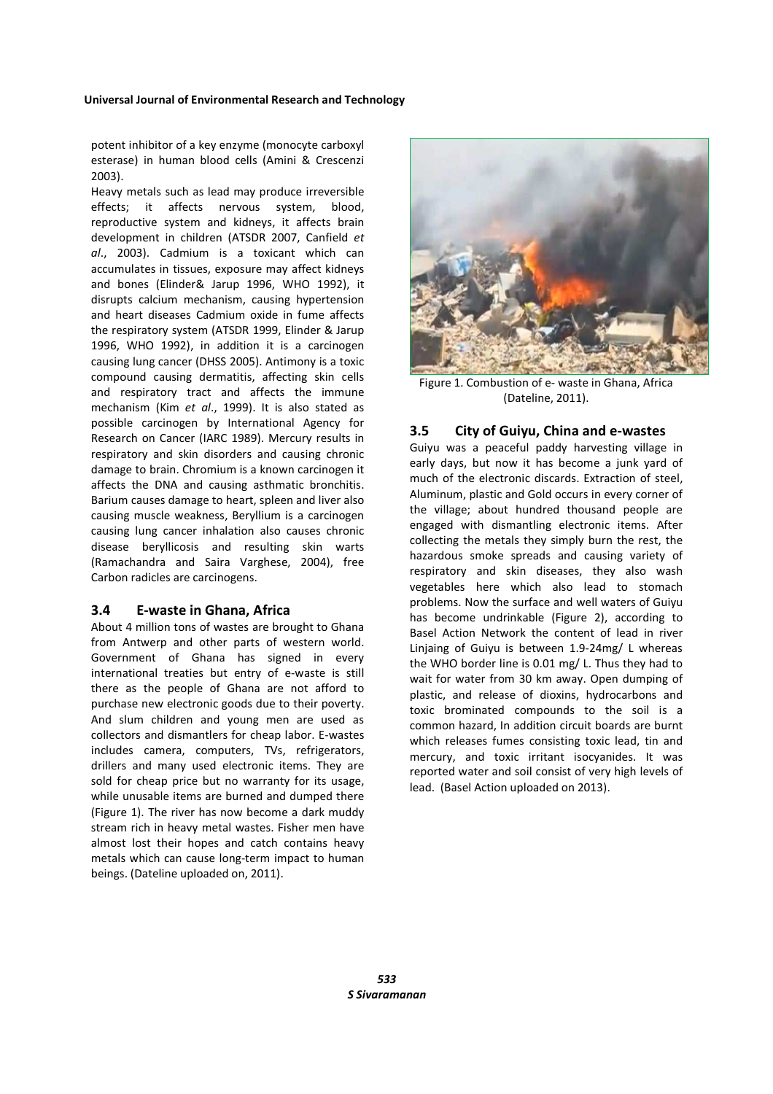potent inhibitor of a key enzyme (monocyte carboxyl esterase) in human blood cells (Amini & Crescenzi 2003).

Heavy metals such as lead may produce irreversible effects; it affects nervous system, blood, reproductive system and kidneys, it affects brain development in children (ATSDR 2007, Canfield *et al*., 2003). Cadmium is a toxicant which can accumulates in tissues, exposure may affect kidneys and bones (Elinder& Jarup 1996, WHO 1992), it disrupts calcium mechanism, causing hypertension and heart diseases Cadmium oxide in fume affects the respiratory system (ATSDR 1999, Elinder & Jarup 1996, WHO 1992), in addition it is a carcinogen causing lung cancer (DHSS 2005). Antimony is a toxic compound causing dermatitis, affecting skin cells and respiratory tract and affects the immune mechanism (Kim *et al*., 1999). It is also stated as possible carcinogen by International Agency for Research on Cancer (IARC 1989). Mercury results in respiratory and skin disorders and causing chronic damage to brain. Chromium is a known carcinogen it affects the DNA and causing asthmatic bronchitis. Barium causes damage to heart, spleen and liver also causing muscle weakness, Beryllium is a carcinogen causing lung cancer inhalation also causes chronic disease beryllicosis and resulting skin warts (Ramachandra and Saira Varghese, 2004), free Carbon radicles are carcinogens.

### **3.4 E-waste in Ghana, Africa**

About 4 million tons of wastes are brought to Ghana from Antwerp and other parts of western world. Government of Ghana has signed in every international treaties but entry of e-waste is still there as the people of Ghana are not afford to purchase new electronic goods due to their poverty. And slum children and young men are used as collectors and dismantlers for cheap labor. E-wastes includes camera, computers, TVs, refrigerators, drillers and many used electronic items. They are sold for cheap price but no warranty for its usage, while unusable items are burned and dumped there (Figure 1). The river has now become a dark muddy stream rich in heavy metal wastes. Fisher men have almost lost their hopes and catch contains heavy metals which can cause long-term impact to human beings. (Dateline uploaded on, 2011).



Figure 1. Combustion of e- waste in Ghana, Africa (Dateline, 2011).

### **3.5 City of Guiyu, China and e-wastes**

Guiyu was a peaceful paddy harvesting village in early days, but now it has become a junk yard of much of the electronic discards. Extraction of steel, Aluminum, plastic and Gold occurs in every corner of the village; about hundred thousand people are engaged with dismantling electronic items. After collecting the metals they simply burn the rest, the hazardous smoke spreads and causing variety of respiratory and skin diseases, they also wash vegetables here which also lead to stomach problems. Now the surface and well waters of Guiyu has become undrinkable (Figure 2), according to Basel Action Network the content of lead in river Linjaing of Guiyu is between 1.9-24mg/ L whereas the WHO border line is 0.01 mg/ L. Thus they had to wait for water from 30 km away. Open dumping of plastic, and release of dioxins, hydrocarbons and toxic brominated compounds to the soil is a common hazard, In addition circuit boards are burnt which releases fumes consisting toxic lead, tin and mercury, and toxic irritant isocyanides. It was reported water and soil consist of very high levels of lead. (Basel Action uploaded on 2013).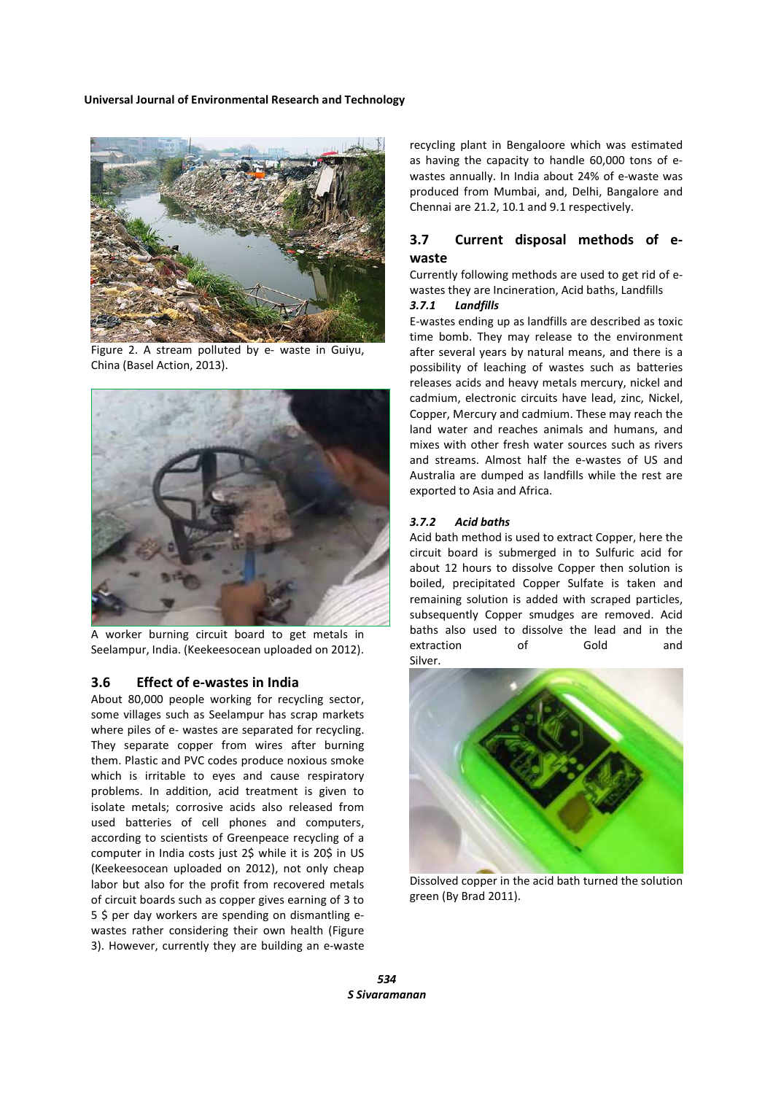

Figure 2. A stream polluted by e- waste in Guiyu, China (Basel Action, 2013).



worker burning circuit board to get metals in Seelampur, India. (Keekeesocean uploaded on 2012).

#### **3.6 Effect of e-wastes in India**

About 80,000 people working for recycling sector, some villages such as Seelampur has scrap markets where piles of e- wastes are separated for recycling. They separate copper from wires after burning them. Plastic and PVC codes produce noxious smoke which is irritable to eyes and cause respiratory problems. In addition, acid treatment is given to isolate metals; corrosive acids also released from used batteries of cell phones and computers, according to scientists of Greenpeace recycling of a computer in India costs just 2\$ while it is 20\$ in US (Keekeesocean uploaded on 2012), not only cheap labor but also for the profit from recovered metals of circuit boards such as copper gives earning of 3 to 5 \$ per day workers are spending on dismantling ewastes rather considering their own health (Figure 3). However, currently they are building an e-waste

recycling plant in Bengaloore which was estimated as having the capacity to handle 60,000 tons of ewastes annually. In India about 24% of e-waste was produced from Mumbai, and, Delhi, Bangalore and Chennai are 21.2, 10.1 and 9.1 respectively.

## **3.7 Current disposal methods of ewaste**

Currently following methods are used to get rid of ewastes they are Incineration, Acid baths, Landfills

### *3.7.1 Landfills*

E-wastes ending up as landfills are described as toxic time bomb. They may release to the environment after several years by natural means, and there is a possibility of leaching of wastes such as batteries releases acids and heavy metals mercury, nickel and cadmium, electronic circuits have lead, zinc, Nickel, Copper, Mercury and cadmium. These may reach the land water and reaches animals and humans, and mixes with other fresh water sources such as rivers and streams. Almost half the e-wastes of US and Australia are dumped as landfills while the rest are exported to Asia and Africa.

#### *3.7.2 Acid baths*

Acid bath method is used to extract Copper, here the circuit board is submerged in to Sulfuric acid for about 12 hours to dissolve Copper then solution is boiled, precipitated Copper Sulfate is taken and remaining solution is added with scraped particles, subsequently Copper smudges are removed. Acid baths also used to dissolve the lead and in the extraction of Gold and Silver.



Dissolved copper in the acid bath turned the solution green (By Brad 2011).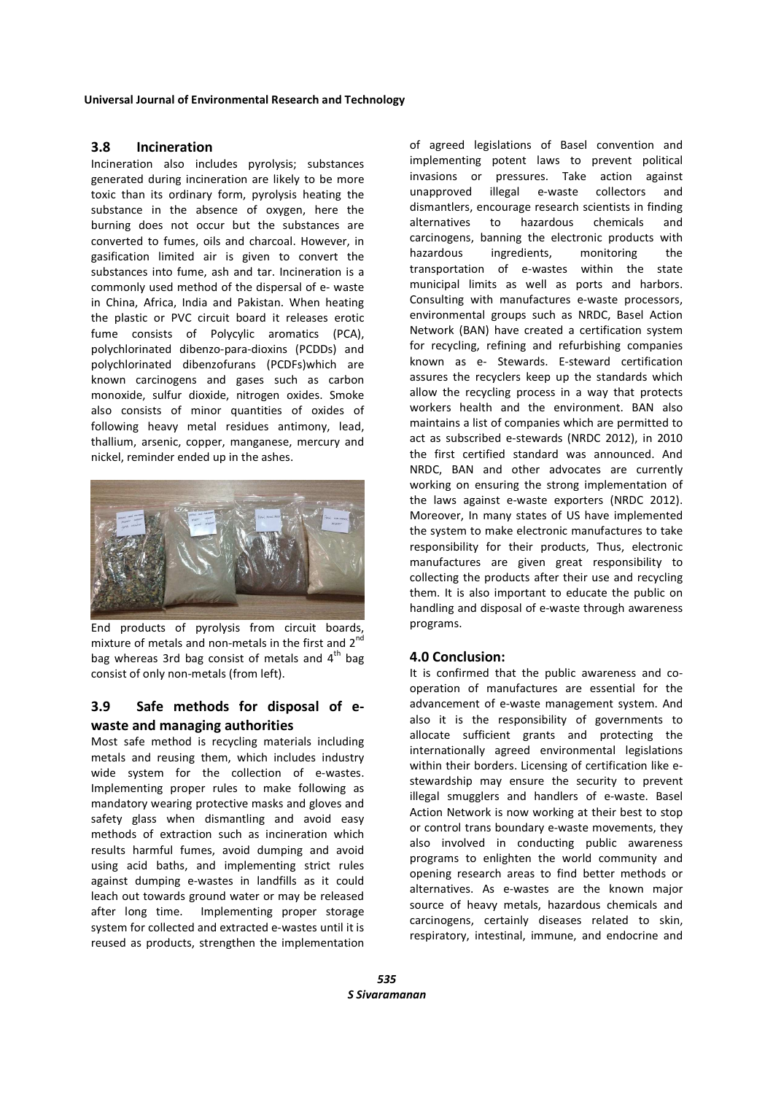### **3.8 Incineration**

Incineration also includes pyrolysis; substances generated during incineration are likely to be more toxic than its ordinary form, pyrolysis heating the substance in the absence of oxygen, here the burning does not occur but the substances are converted to fumes, oils and charcoal. However, in gasification limited air is given to convert the substances into fume, ash and tar. Incineration is a commonly used method of the dispersal of e- waste in China, Africa, India and Pakistan. When heating the plastic or PVC circuit board it releases erotic fume consists of Polycylic aromatics (PCA), polychlorinated dibenzo-para-dioxins (PCDDs) and polychlorinated dibenzofurans (PCDFs)which are known carcinogens and gases such as carbon monoxide, sulfur dioxide, nitrogen oxides. Smoke also consists of minor quantities of oxides of following heavy metal residues antimony, lead, thallium, arsenic, copper, manganese, mercury and nickel, reminder ended up in the ashes.



End products of pyrolysis from circuit boards, mixture of metals and non-metals in the first and  $2<sup>n</sup>$ bag whereas 3rd bag consist of metals and  $4<sup>th</sup>$  bag consist of only non-metals (from left).

# **3.9 Safe methods for disposal of ewaste and managing authorities**

Most safe method is recycling materials including metals and reusing them, which includes industry wide system for the collection of e-wastes. Implementing proper rules to make following as mandatory wearing protective masks and gloves and safety glass when dismantling and avoid easy methods of extraction such as incineration which results harmful fumes, avoid dumping and avoid using acid baths, and implementing strict rules against dumping e-wastes in landfills as it could leach out towards ground water or may be released after long time. Implementing proper storage system for collected and extracted e-wastes until it is reused as products, strengthen the implementation

of agreed legislations of Basel convention and implementing potent laws to prevent political invasions or pressures. Take action against unapproved illegal e-waste collectors and dismantlers, encourage research scientists in finding alternatives to hazardous chemicals and carcinogens, banning the electronic products with hazardous ingredients, monitoring the transportation of e-wastes within the state municipal limits as well as ports and harbors. Consulting with manufactures e-waste processors, environmental groups such as NRDC, Basel Action Network (BAN) have created a certification system for recycling, refining and refurbishing companies known as e- Stewards. E-steward certification assures the recyclers keep up the standards which allow the recycling process in a way that protects workers health and the environment. BAN also maintains a list of companies which are permitted to act as subscribed e-stewards (NRDC 2012), in 2010 the first certified standard was announced. And NRDC, BAN and other advocates are currently working on ensuring the strong implementation of the laws against e-waste exporters (NRDC 2012). Moreover, In many states of US have implemented the system to make electronic manufactures to take responsibility for their products, Thus, electronic manufactures are given great responsibility to collecting the products after their use and recycling them. It is also important to educate the public on handling and disposal of e-waste through awareness programs.

## **4.0 Conclusion:**

It is confirmed that the public awareness and cooperation of manufactures are essential for the advancement of e-waste management system. And also it is the responsibility of governments to allocate sufficient grants and protecting the internationally agreed environmental legislations within their borders. Licensing of certification like estewardship may ensure the security to prevent illegal smugglers and handlers of e-waste. Basel Action Network is now working at their best to stop or control trans boundary e-waste movements, they also involved in conducting public awareness programs to enlighten the world community and opening research areas to find better methods or alternatives. As e-wastes are the known major source of heavy metals, hazardous chemicals and carcinogens, certainly diseases related to skin, respiratory, intestinal, immune, and endocrine and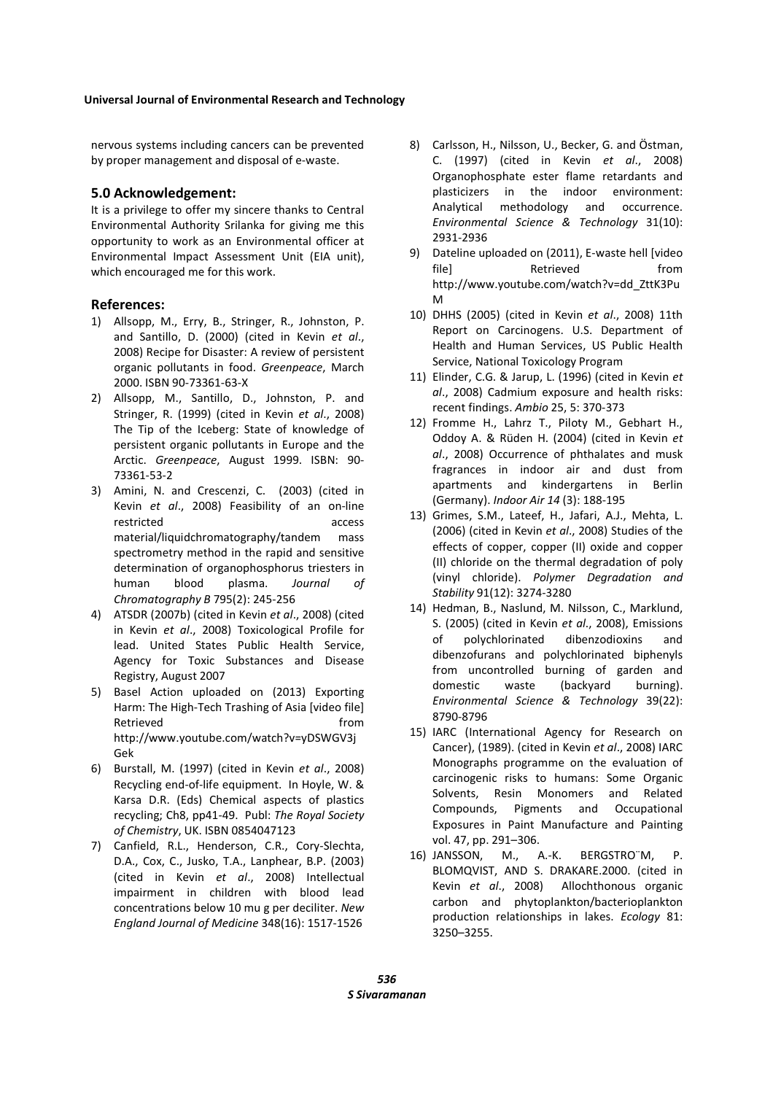nervous systems including cancers can be prevented by proper management and disposal of e-waste.

## **5.0 Acknowledgement:**

It is a privilege to offer my sincere thanks to Central Environmental Authority Srilanka for giving me this opportunity to work as an Environmental officer at Environmental Impact Assessment Unit (EIA unit), which encouraged me for this work.

## **References:**

- 1) Allsopp, M., Erry, B., Stringer, R., Johnston, P. and Santillo, D. (2000) (cited in Kevin *et al*., 2008) Recipe for Disaster: A review of persistent organic pollutants in food. *Greenpeace*, March 2000. ISBN 90-73361-63-X
- 2) Allsopp, M., Santillo, D., Johnston, P. and Stringer, R. (1999) (cited in Kevin *et al*., 2008) The Tip of the Iceberg: State of knowledge of persistent organic pollutants in Europe and the Arctic. *Greenpeace*, August 1999. ISBN: 90- 73361-53-2
- 3) Amini, N. and Crescenzi, C. (2003) (cited in Kevin *et al*., 2008) Feasibility of an on-line restricted access material/liquidchromatography/tandem mass spectrometry method in the rapid and sensitive determination of organophosphorus triesters in human blood plasma. *Journal of Chromatography B* 795(2): 245-256
- 4) ATSDR (2007b) (cited in Kevin *et al*., 2008) (cited in Kevin *et al*., 2008) Toxicological Profile for lead. United States Public Health Service, Agency for Toxic Substances and Disease Registry, August 2007
- 5) Basel Action uploaded on (2013) Exporting Harm: The High-Tech Trashing of Asia [video file] Retrieved **from** http://www.youtube.com/watch?v=yDSWGV3j Gek
- 6) Burstall, M. (1997) (cited in Kevin *et al*., 2008) Recycling end-of-life equipment. In Hoyle, W. & Karsa D.R. (Eds) Chemical aspects of plastics recycling; Ch8, pp41-49. Publ: *The Royal Society of Chemistry*, UK. ISBN 0854047123
- 7) Canfield, R.L., Henderson, C.R., Cory-Slechta, D.A., Cox, C., Jusko, T.A., Lanphear, B.P. (2003) (cited in Kevin *et al*., 2008) Intellectual impairment in children with blood lead concentrations below 10 mu g per deciliter. *New England Journal of Medicine* 348(16): 1517-1526
- 8) Carlsson, H., Nilsson, U., Becker, G. and Östman, C. (1997) (cited in Kevin *et al*., 2008) Organophosphate ester flame retardants and plasticizers in the indoor environment: Analytical methodology and occurrence. *Environmental Science & Technology* 31(10): 2931-2936
- 9) Dateline uploaded on (2011), E-waste hell [video file] Retrieved from http://www.youtube.com/watch?v=dd\_ZttK3Pu M
- 10) DHHS (2005) (cited in Kevin *et al*., 2008) 11th Report on Carcinogens. U.S. Department of Health and Human Services, US Public Health Service, National Toxicology Program
- 11) Elinder, C.G. & Jarup, L. (1996) (cited in Kevin *et al*., 2008) Cadmium exposure and health risks: recent findings. *Ambio* 25, 5: 370-373
- 12) Fromme H., Lahrz T., Piloty M., Gebhart H., Oddoy A. & Rüden H. (2004) (cited in Kevin *et al*., 2008) Occurrence of phthalates and musk fragrances in indoor air and dust from apartments and kindergartens in Berlin (Germany). *Indoor Air 14* (3): 188-195
- 13) Grimes, S.M., Lateef, H., Jafari, A.J., Mehta, L. (2006) (cited in Kevin *et al*., 2008) Studies of the effects of copper, copper (II) oxide and copper (II) chloride on the thermal degradation of poly (vinyl chloride). *Polymer Degradation and Stability* 91(12): 3274-3280
- 14) Hedman, B., Naslund, M. Nilsson, C., Marklund, S. (2005) (cited in Kevin *et al*., 2008), Emissions of polychlorinated dibenzodioxins and dibenzofurans and polychlorinated biphenyls from uncontrolled burning of garden and domestic waste (backyard burning). *Environmental Science & Technology* 39(22): 8790-8796
- 15) IARC (International Agency for Research on Cancer), (1989). (cited in Kevin *et al*., 2008) IARC Monographs programme on the evaluation of carcinogenic risks to humans: Some Organic Solvents, Resin Monomers and Related Compounds, Pigments and Occupational Exposures in Paint Manufacture and Painting vol. 47, pp. 291–306.
- 16) JANSSON, M., A.-K. BERGSTRO¨M, P. BLOMQVIST, AND S. DRAKARE.2000. (cited in Kevin *et al*., 2008) Allochthonous organic carbon and phytoplankton/bacterioplankton production relationships in lakes. *Ecology* 81: 3250–3255.